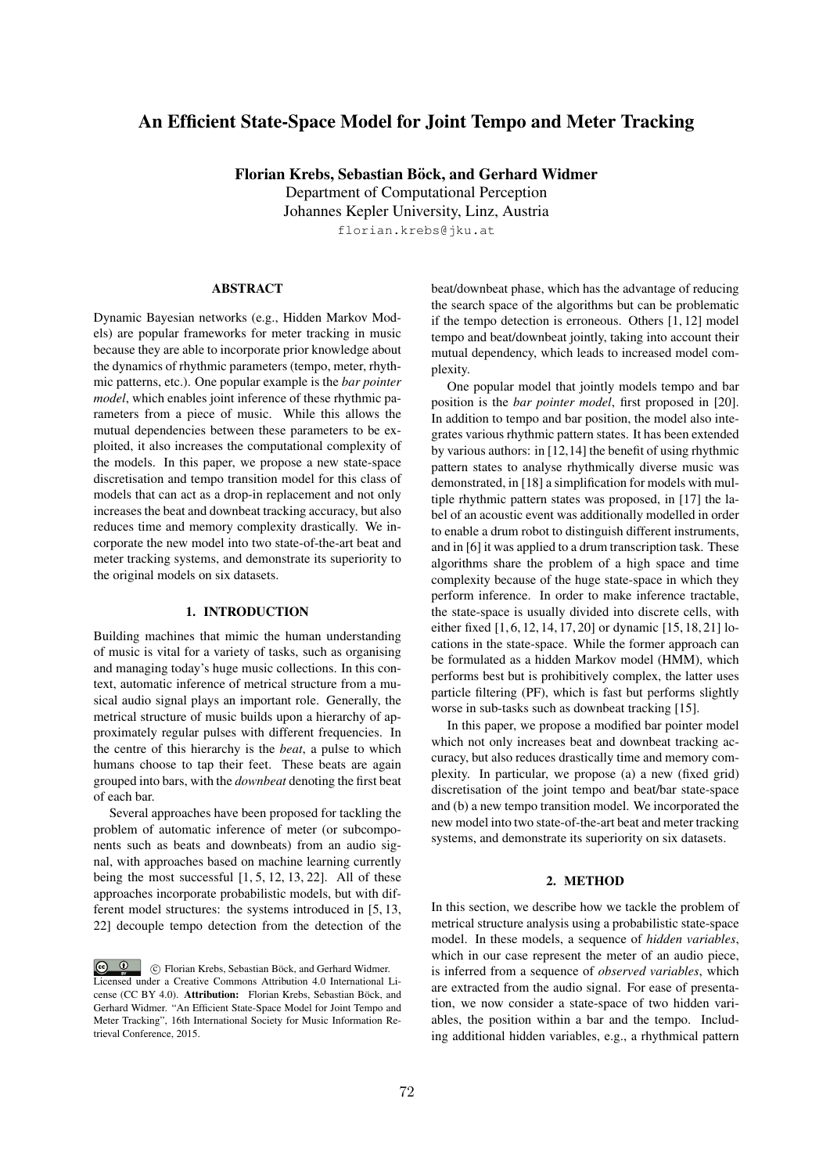# An Efficient State-Space Model for Joint Tempo and Meter Tracking

Florian Krebs, Sebastian Böck, and Gerhard Widmer

Department of Computational Perception Johannes Kepler University, Linz, Austria

florian.krebs@jku.at

# **ABSTRACT**

Dynamic Bayesian networks (e.g., Hidden Markov Models) are popular frameworks for meter tracking in music because they are able to incorporate prior knowledge about the dynamics of rhythmic parameters (tempo, meter, rhythmic patterns, etc.). One popular example is the *bar pointer model*, which enables joint inference of these rhythmic parameters from a piece of music. While this allows the mutual dependencies between these parameters to be exploited, it also increases the computational complexity of the models. In this paper, we propose a new state-space discretisation and tempo transition model for this class of models that can act as a drop-in replacement and not only increases the beat and downbeat tracking accuracy, but also reduces time and memory complexity drastically. We incorporate the new model into two state-of-the-art beat and meter tracking systems, and demonstrate its superiority to the original models on six datasets.

## 1. INTRODUCTION

Building machines that mimic the human understanding of music is vital for a variety of tasks, such as organising and managing today's huge music collections. In this context, automatic inference of metrical structure from a musical audio signal plays an important role. Generally, the metrical structure of music builds upon a hierarchy of approximately regular pulses with different frequencies. In the centre of this hierarchy is the *beat*, a pulse to which humans choose to tap their feet. These beats are again grouped into bars, with the *downbeat* denoting the first beat of each bar.

Several approaches have been proposed for tackling the problem of automatic inference of meter (or subcomponents such as beats and downbeats) from an audio signal, with approaches based on machine learning currently being the most successful  $[1, 5, 12, 13, 22]$ . All of these approaches incorporate probabilistic models, but with different model structures: the systems introduced in [5, 13, 22] decouple tempo detection from the detection of the beat/downbeat phase, which has the advantage of reducing the search space of the algorithms but can be problematic if the tempo detection is erroneous. Others [1, 12] model tempo and beat/downbeat jointly, taking into account their mutual dependency, which leads to increased model complexity.

One popular model that jointly models tempo and bar position is the *bar pointer model*, first proposed in [20]. In addition to tempo and bar position, the model also integrates various rhythmic pattern states. It has been extended by various authors: in [12,14] the benefit of using rhythmic pattern states to analyse rhythmically diverse music was demonstrated, in [18] a simplification for models with multiple rhythmic pattern states was proposed, in [17] the label of an acoustic event was additionally modelled in order to enable a drum robot to distinguish different instruments, and in [6] it was applied to a drum transcription task. These algorithms share the problem of a high space and time complexity because of the huge state-space in which they perform inference. In order to make inference tractable, the state-space is usually divided into discrete cells, with either fixed [1, 6, 12, 14, 17, 20] or dynamic [15, 18, 21] locations in the state-space. While the former approach can be formulated as a hidden Markov model (HMM), which performs best but is prohibitively complex, the latter uses particle filtering (PF), which is fast but performs slightly worse in sub-tasks such as downbeat tracking [15].

In this paper, we propose a modified bar pointer model which not only increases beat and downbeat tracking accuracy, but also reduces drastically time and memory complexity. In particular, we propose (a) a new (fixed grid) discretisation of the joint tempo and beat/bar state-space and (b) a new tempo transition model. We incorporated the new model into two state-of-the-art beat and meter tracking systems, and demonstrate its superiority on six datasets.

## 2. METHOD

In this section, we describe how we tackle the problem of metrical structure analysis using a probabilistic state-space model. In these models, a sequence of *hidden variables*, which in our case represent the meter of an audio piece, is inferred from a sequence of *observed variables*, which are extracted from the audio signal. For ease of presentation, we now consider a state-space of two hidden variables, the position within a bar and the tempo. Including additional hidden variables, e.g., a rhythmical pattern

c Florian Krebs, Sebastian Böck, and Gerhard Widmer. Licensed under a Creative Commons Attribution 4.0 International License (CC BY 4.0). Attribution: Florian Krebs, Sebastian Böck, and Gerhard Widmer. "An Efficient State-Space Model for Joint Tempo and Meter Tracking", 16th International Society for Music Information Retrieval Conference, 2015.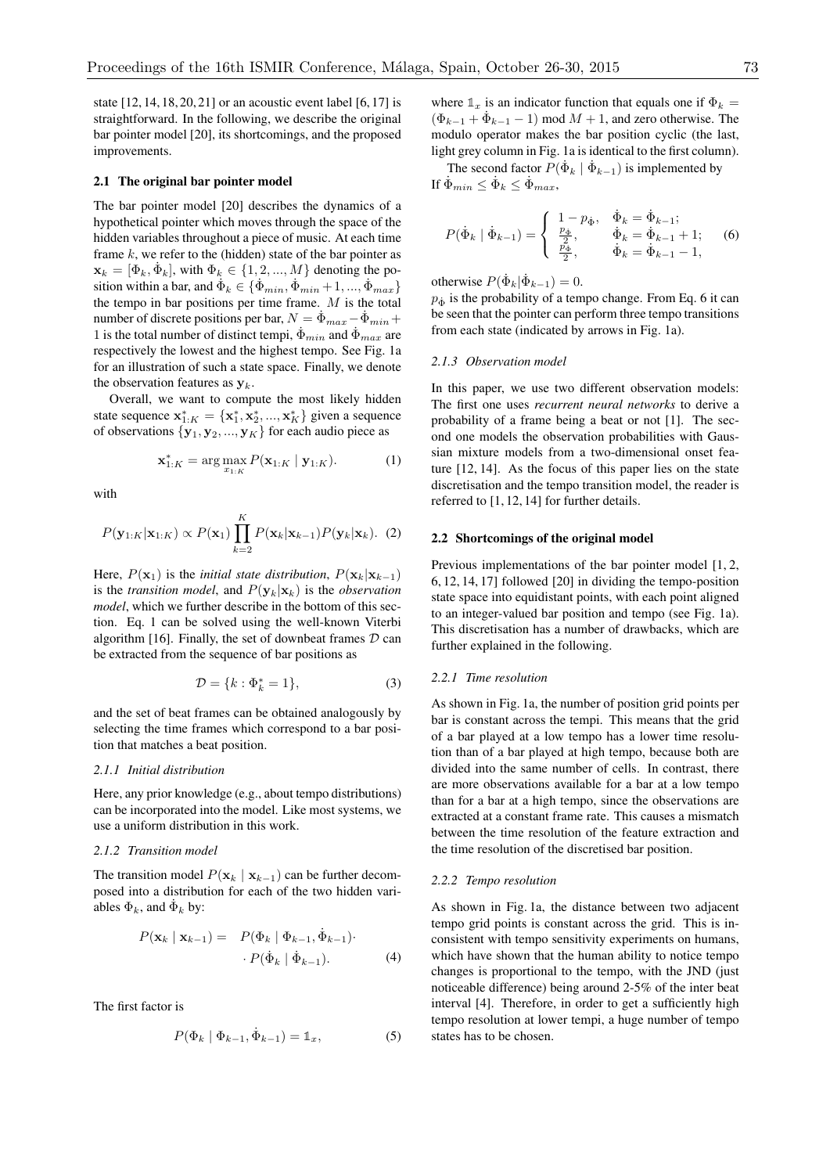state [12, 14, 18, 20, 21] or an acoustic event label [6, 17] is straightforward. In the following, we describe the original bar pointer model [20], its shortcomings, and the proposed improvements.

### 2.1 The original bar pointer model

The bar pointer model [20] describes the dynamics of a hypothetical pointer which moves through the space of the hidden variables throughout a piece of music. At each time frame *k*, we refer to the (hidden) state of the bar pointer as  $\mathbf{x}_k = [\Phi_k, \dot{\Phi}_k]$ , with  $\Phi_k \in \{1, 2, ..., M\}$  denoting the position within a bar, and  $\dot{\Phi}_k \in {\{\dot{\Phi}_{min}, \dot{\Phi}_{min} + 1, ..., \dot{\Phi}_{max}\}}$ the tempo in bar positions per time frame. *M* is the total number of discrete positions per bar,  $N = \dot{\Phi}_{max} - \dot{\Phi}_{min} +$ 1 is the total number of distinct tempi,  $\Phi_{min}$  and  $\Phi_{max}$  are respectively the lowest and the highest tempo. See Fig. 1a for an illustration of such a state space. Finally, we denote the observation features as y*k*.

Overall, we want to compute the most likely hidden state sequence  $\mathbf{x}_{1:K}^* = {\mathbf{x}_1^*, \mathbf{x}_2^*, ..., \mathbf{x}_K^*}$  given a sequence of observations  $\{y_1, y_2, ..., y_K\}$  for each audio piece as

$$
\mathbf{x}_{1:K}^* = \arg \max_{x_{1:K}} P(\mathbf{x}_{1:K} | \mathbf{y}_{1:K}).
$$
 (1)

with

$$
P(\mathbf{y}_{1:K}|\mathbf{x}_{1:K}) \propto P(\mathbf{x}_1) \prod_{k=2}^{K} P(\mathbf{x}_k|\mathbf{x}_{k-1}) P(\mathbf{y}_k|\mathbf{x}_k).
$$
 (2)

Here,  $P(\mathbf{x}_1)$  is the *initial state distribution*,  $P(\mathbf{x}_k|\mathbf{x}_{k-1})$ is the *transition model*, and  $P(\mathbf{y}_k|\mathbf{x}_k)$  is the *observation model*, which we further describe in the bottom of this section. Eq. 1 can be solved using the well-known Viterbi algorithm [16]. Finally, the set of downbeat frames *D* can be extracted from the sequence of bar positions as

$$
\mathcal{D} = \{k : \Phi_k^* = 1\},\tag{3}
$$

and the set of beat frames can be obtained analogously by selecting the time frames which correspond to a bar position that matches a beat position.

## *2.1.1 Initial distribution*

Here, any prior knowledge (e.g., about tempo distributions) can be incorporated into the model. Like most systems, we use a uniform distribution in this work.

## *2.1.2 Transition model*

The transition model  $P(\mathbf{x}_k | \mathbf{x}_{k-1})$  can be further decomposed into a distribution for each of the two hidden variables  $\Phi_k$ , and  $\dot{\Phi}_k$  by:

$$
P(\mathbf{x}_k | \mathbf{x}_{k-1}) = P(\Phi_k | \Phi_{k-1}, \dot{\Phi}_{k-1}) \cdot P(\dot{\Phi}_k | \dot{\Phi}_{k-1}).
$$
\n(4)

The first factor is

$$
P(\Phi_k | \Phi_{k-1}, \dot{\Phi}_{k-1}) = \mathbb{1}_x,\tag{5}
$$

where  $\mathbb{1}_x$  is an indicator function that equals one if  $\Phi_k =$  $(\Phi_{k-1} + \dot{\Phi}_{k-1} - 1)$  mod  $M + 1$ , and zero otherwise. The modulo operator makes the bar position cyclic (the last, light grey column in Fig. 1a is identical to the first column).

The second factor  $P(\dot{\Phi}_k | \dot{\Phi}_{k-1})$  is implemented by If  $\dot{\Phi}_{min} \leq \dot{\Phi}_k \leq \dot{\Phi}_{max}$ ,

$$
P(\dot{\Phi}_k | \dot{\Phi}_{k-1}) = \begin{cases} 1 - p_{\dot{\Phi}}, & \dot{\Phi}_k = \dot{\Phi}_{k-1};\\ \frac{p_{\dot{\Phi}}}{2}, & \dot{\Phi}_k = \dot{\Phi}_{k-1} + 1;\\ \frac{p_{\dot{\Phi}}}{2}, & \dot{\Phi}_k = \dot{\Phi}_{k-1} - 1, \end{cases}
$$
(6)

otherwise  $P(\dot{\Phi}_k|\dot{\Phi}_{k-1})=0$ .

 $p_{\phi}$  is the probability of a tempo change. From Eq. 6 it can be seen that the pointer can perform three tempo transitions from each state (indicated by arrows in Fig. 1a).

## *2.1.3 Observation model*

In this paper, we use two different observation models: The first one uses *recurrent neural networks* to derive a probability of a frame being a beat or not [1]. The second one models the observation probabilities with Gaussian mixture models from a two-dimensional onset feature [12, 14]. As the focus of this paper lies on the state discretisation and the tempo transition model, the reader is referred to [1, 12, 14] for further details.

#### 2.2 Shortcomings of the original model

Previous implementations of the bar pointer model [1, 2, 6, 12, 14, 17] followed [20] in dividing the tempo-position state space into equidistant points, with each point aligned to an integer-valued bar position and tempo (see Fig. 1a). This discretisation has a number of drawbacks, which are further explained in the following.

#### *2.2.1 Time resolution*

As shown in Fig. 1a, the number of position grid points per bar is constant across the tempi. This means that the grid of a bar played at a low tempo has a lower time resolution than of a bar played at high tempo, because both are divided into the same number of cells. In contrast, there are more observations available for a bar at a low tempo than for a bar at a high tempo, since the observations are extracted at a constant frame rate. This causes a mismatch between the time resolution of the feature extraction and the time resolution of the discretised bar position.

#### *2.2.2 Tempo resolution*

As shown in Fig. 1a, the distance between two adjacent tempo grid points is constant across the grid. This is inconsistent with tempo sensitivity experiments on humans, which have shown that the human ability to notice tempo changes is proportional to the tempo, with the JND (just noticeable difference) being around 2-5% of the inter beat interval [4]. Therefore, in order to get a sufficiently high tempo resolution at lower tempi, a huge number of tempo states has to be chosen.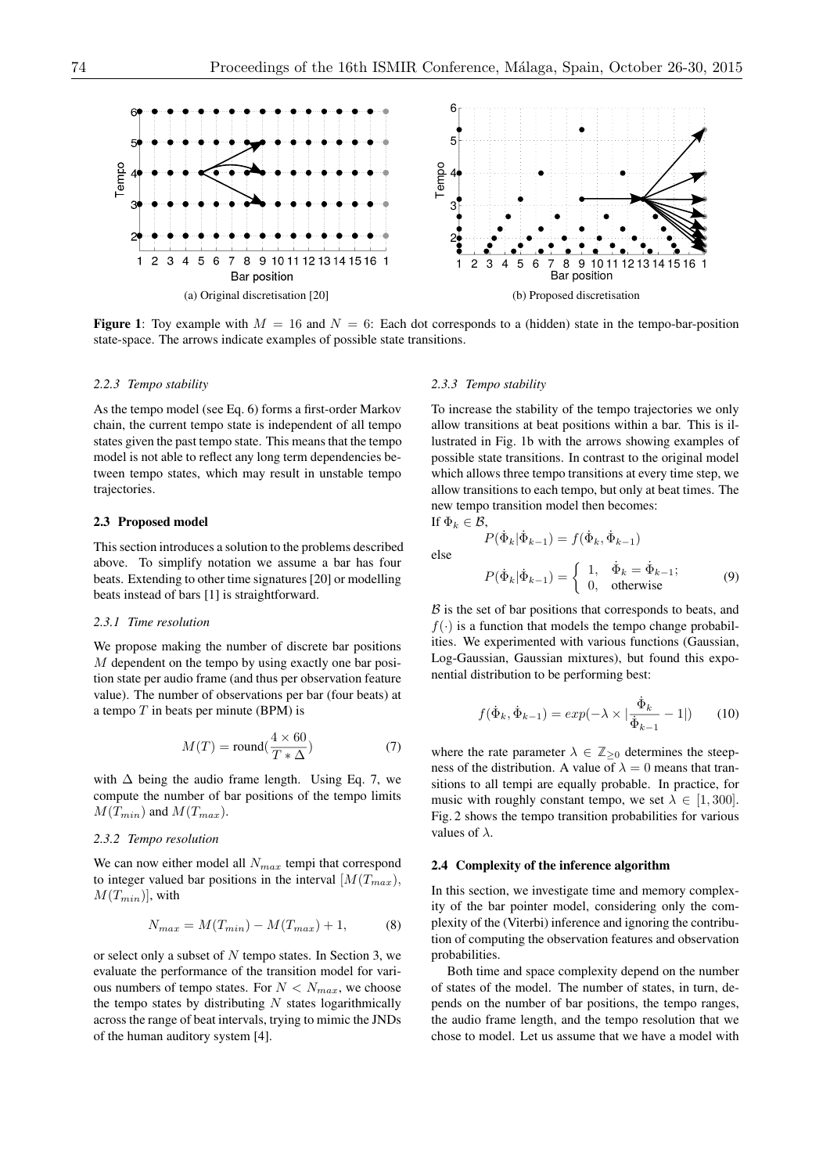

**Figure 1:** Toy example with  $M = 16$  and  $N = 6$ : Each dot corresponds to a (hidden) state in the tempo-bar-position state-space. The arrows indicate examples of possible state transitions.

#### *2.2.3 Tempo stability*

As the tempo model (see Eq. 6) forms a first-order Markov chain, the current tempo state is independent of all tempo states given the past tempo state. This means that the tempo model is not able to reflect any long term dependencies between tempo states, which may result in unstable tempo trajectories.

#### 2.3 Proposed model

This section introduces a solution to the problems described above. To simplify notation we assume a bar has four beats. Extending to other time signatures [20] or modelling beats instead of bars [1] is straightforward.

## *2.3.1 Time resolution*

We propose making the number of discrete bar positions *M* dependent on the tempo by using exactly one bar position state per audio frame (and thus per observation feature value). The number of observations per bar (four beats) at a tempo *T* in beats per minute (BPM) is

$$
M(T) = \text{round}(\frac{4 \times 60}{T \ast \Delta})
$$
\n(7)

with  $\Delta$  being the audio frame length. Using Eq. 7, we compute the number of bar positions of the tempo limits  $M(T_{min})$  and  $M(T_{max})$ .

## *2.3.2 Tempo resolution*

We can now either model all *Nmax* tempi that correspond to integer valued bar positions in the interval  $[M(T_{max})$ ,  $M(T_{min})$ , with

$$
N_{max} = M(T_{min}) - M(T_{max}) + 1,
$$
 (8)

or select only a subset of *N* tempo states. In Section 3, we evaluate the performance of the transition model for various numbers of tempo states. For  $N < N_{max}$ , we choose the tempo states by distributing *N* states logarithmically across the range of beat intervals, trying to mimic the JNDs of the human auditory system [4].

#### *2.3.3 Tempo stability*

To increase the stability of the tempo trajectories we only allow transitions at beat positions within a bar. This is illustrated in Fig. 1b with the arrows showing examples of possible state transitions. In contrast to the original model which allows three tempo transitions at every time step, we allow transitions to each tempo, but only at beat times. The new tempo transition model then becomes: If  $\Phi_k \in \mathcal{B}$ ,

 $P(\dot{\Phi}_k|\dot{\Phi}_{k-1}) = f(\dot{\Phi}_k, \dot{\Phi}_{k-1})$ 

$$
else
$$

$$
P(\dot{\Phi}_k|\dot{\Phi}_{k-1}) = \begin{cases} 1, & \dot{\Phi}_k = \dot{\Phi}_{k-1}; \\ 0, & \text{otherwise} \end{cases}
$$
 (9)

 $\beta$  is the set of bar positions that corresponds to beats, and  $f(\cdot)$  is a function that models the tempo change probabilities. We experimented with various functions (Gaussian, Log-Gaussian, Gaussian mixtures), but found this exponential distribution to be performing best:

$$
f(\dot{\Phi}_k, \dot{\Phi}_{k-1}) = exp(-\lambda \times |\frac{\dot{\Phi}_k}{\dot{\Phi}_{k-1}} - 1|)
$$
 (10)

where the rate parameter  $\lambda \in \mathbb{Z}_{\geq 0}$  determines the steepness of the distribution. A value of  $\lambda = 0$  means that transitions to all tempi are equally probable. In practice, for music with roughly constant tempo, we set  $\lambda \in [1, 300]$ . Fig. 2 shows the tempo transition probabilities for various values of  $\lambda$ .

## 2.4 Complexity of the inference algorithm

In this section, we investigate time and memory complexity of the bar pointer model, considering only the complexity of the (Viterbi) inference and ignoring the contribution of computing the observation features and observation probabilities.

Both time and space complexity depend on the number of states of the model. The number of states, in turn, depends on the number of bar positions, the tempo ranges, the audio frame length, and the tempo resolution that we chose to model. Let us assume that we have a model with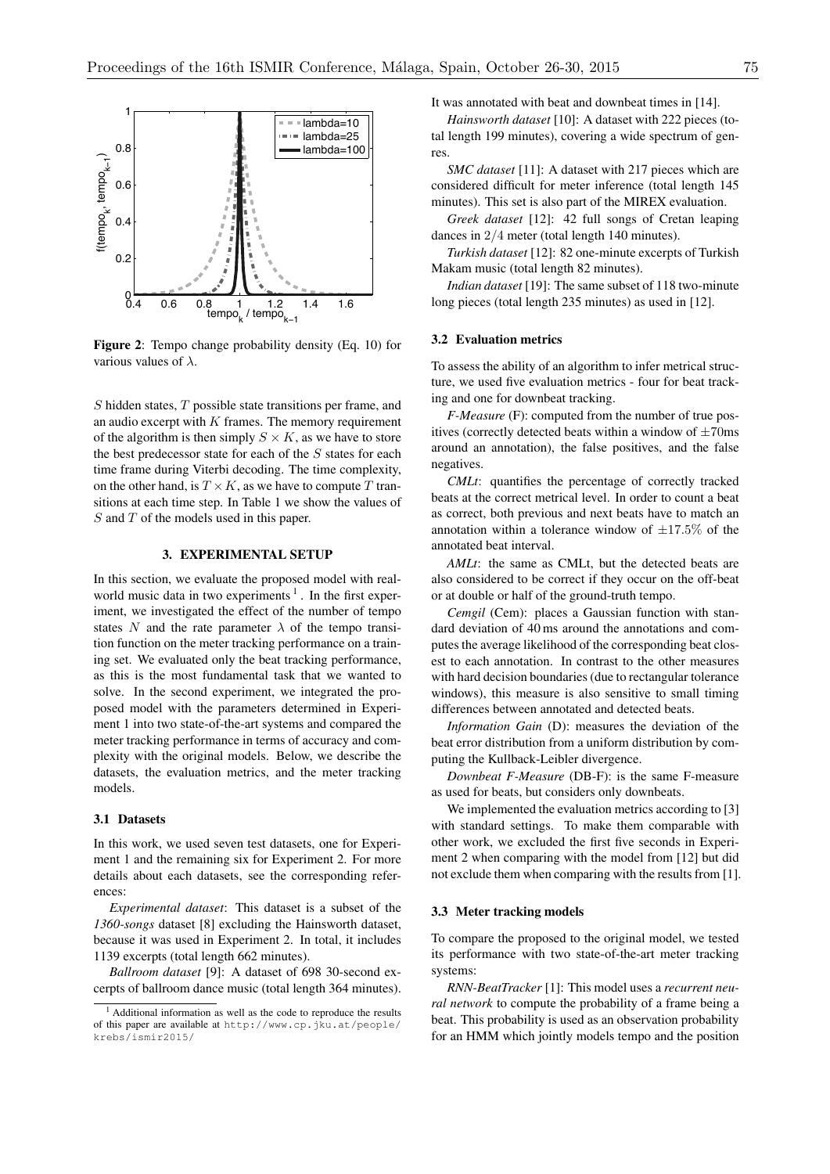

Figure 2: Tempo change probability density (Eq. 10) for various values of  $\lambda$ .

*S* hidden states, *T* possible state transitions per frame, and an audio excerpt with *K* frames. The memory requirement of the algorithm is then simply  $S \times K$ , as we have to store the best predecessor state for each of the *S* states for each time frame during Viterbi decoding. The time complexity, on the other hand, is  $T \times K$ , as we have to compute *T* transitions at each time step. In Table 1 we show the values of *S* and *T* of the models used in this paper.

## 3. EXPERIMENTAL SETUP

In this section, we evaluate the proposed model with realworld music data in two experiments<sup>1</sup>. In the first experiment, we investigated the effect of the number of tempo states N and the rate parameter  $\lambda$  of the tempo transition function on the meter tracking performance on a training set. We evaluated only the beat tracking performance, as this is the most fundamental task that we wanted to solve. In the second experiment, we integrated the proposed model with the parameters determined in Experiment 1 into two state-of-the-art systems and compared the meter tracking performance in terms of accuracy and complexity with the original models. Below, we describe the datasets, the evaluation metrics, and the meter tracking models.

# 3.1 Datasets

In this work, we used seven test datasets, one for Experiment 1 and the remaining six for Experiment 2. For more details about each datasets, see the corresponding references:

*Experimental dataset*: This dataset is a subset of the *1360-songs* dataset [8] excluding the Hainsworth dataset, because it was used in Experiment 2. In total, it includes 1139 excerpts (total length 662 minutes).

*Ballroom dataset* [9]: A dataset of 698 30-second excerpts of ballroom dance music (total length 364 minutes). It was annotated with beat and downbeat times in [14].

*Hainsworth dataset* [10]: A dataset with 222 pieces (total length 199 minutes), covering a wide spectrum of genres.

*SMC dataset* [11]: A dataset with 217 pieces which are considered difficult for meter inference (total length 145 minutes). This set is also part of the MIREX evaluation.

*Greek dataset* [12]: 42 full songs of Cretan leaping dances in 2*/*4 meter (total length 140 minutes).

*Turkish dataset* [12]: 82 one-minute excerpts of Turkish Makam music (total length 82 minutes).

*Indian dataset* [19]: The same subset of 118 two-minute long pieces (total length 235 minutes) as used in [12].

#### 3.2 Evaluation metrics

To assess the ability of an algorithm to infer metrical structure, we used five evaluation metrics - four for beat tracking and one for downbeat tracking.

*F-Measure* (F): computed from the number of true positives (correctly detected beats within a window of *±*70ms around an annotation), the false positives, and the false negatives.

*CMLt*: quantifies the percentage of correctly tracked beats at the correct metrical level. In order to count a beat as correct, both previous and next beats have to match an annotation within a tolerance window of  $\pm 17.5\%$  of the annotated beat interval.

*AMLt*: the same as CMLt, but the detected beats are also considered to be correct if they occur on the off-beat or at double or half of the ground-truth tempo.

*Cemgil* (Cem): places a Gaussian function with standard deviation of 40 ms around the annotations and computes the average likelihood of the corresponding beat closest to each annotation. In contrast to the other measures with hard decision boundaries (due to rectangular tolerance windows), this measure is also sensitive to small timing differences between annotated and detected beats.

*Information Gain* (D): measures the deviation of the beat error distribution from a uniform distribution by computing the Kullback-Leibler divergence.

*Downbeat F-Measure* (DB-F): is the same F-measure as used for beats, but considers only downbeats.

We implemented the evaluation metrics according to [3] with standard settings. To make them comparable with other work, we excluded the first five seconds in Experiment 2 when comparing with the model from [12] but did not exclude them when comparing with the results from [1].

#### 3.3 Meter tracking models

To compare the proposed to the original model, we tested its performance with two state-of-the-art meter tracking systems:

*RNN-BeatTracker* [1]: This model uses a *recurrent neural network* to compute the probability of a frame being a beat. This probability is used as an observation probability for an HMM which jointly models tempo and the position

<sup>&</sup>lt;sup>1</sup> Additional information as well as the code to reproduce the results of this paper are available at http://www.cp.jku.at/people/ krebs/ismir2015/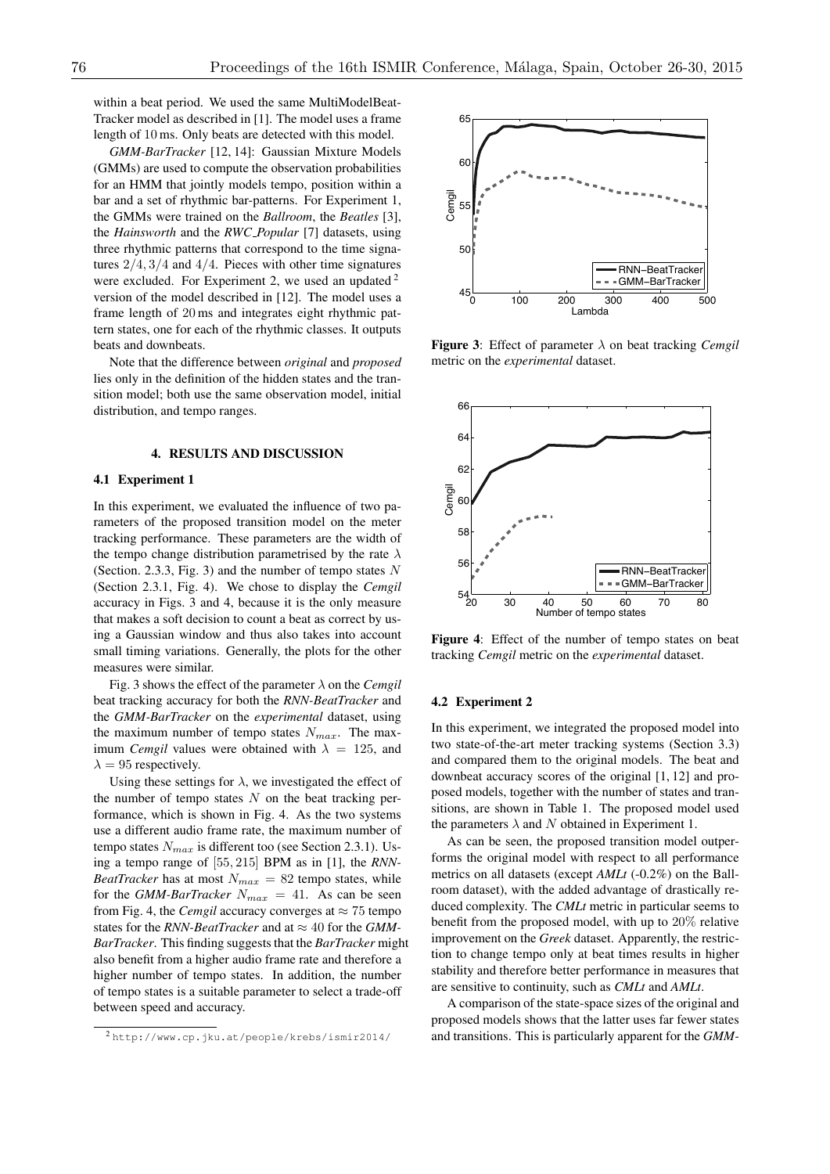within a beat period. We used the same MultiModelBeat-Tracker model as described in [1]. The model uses a frame length of 10 ms. Only beats are detected with this model.

*GMM-BarTracker* [12, 14]: Gaussian Mixture Models (GMMs) are used to compute the observation probabilities for an HMM that jointly models tempo, position within a bar and a set of rhythmic bar-patterns. For Experiment 1, the GMMs were trained on the *Ballroom*, the *Beatles* [3], the *Hainsworth* and the *RWC Popular* [7] datasets, using three rhythmic patterns that correspond to the time signatures 2*/*4*,* 3*/*4 and 4*/*4. Pieces with other time signatures were excluded. For Experiment 2, we used an updated  $2^2$ version of the model described in [12]. The model uses a frame length of 20 ms and integrates eight rhythmic pattern states, one for each of the rhythmic classes. It outputs beats and downbeats.

Note that the difference between *original* and *proposed* lies only in the definition of the hidden states and the transition model; both use the same observation model, initial distribution, and tempo ranges.

#### 4. RESULTS AND DISCUSSION

## 4.1 Experiment 1

In this experiment, we evaluated the influence of two parameters of the proposed transition model on the meter tracking performance. These parameters are the width of the tempo change distribution parametrised by the rate  $\lambda$ (Section. 2.3.3, Fig. 3) and the number of tempo states *N* (Section 2.3.1, Fig. 4). We chose to display the *Cemgil* accuracy in Figs. 3 and 4, because it is the only measure that makes a soft decision to count a beat as correct by using a Gaussian window and thus also takes into account small timing variations. Generally, the plots for the other measures were similar.

Fig. 3 shows the effect of the parameter  $\lambda$  on the *Cemgil* beat tracking accuracy for both the *RNN-BeatTracker* and the *GMM-BarTracker* on the *experimental* dataset, using the maximum number of tempo states *Nmax*. The maximum *Cemgil* values were obtained with  $\lambda = 125$ , and  $\lambda = 95$  respectively.

Using these settings for  $\lambda$ , we investigated the effect of the number of tempo states *N* on the beat tracking performance, which is shown in Fig. 4. As the two systems use a different audio frame rate, the maximum number of tempo states  $N_{max}$  is different too (see Section 2.3.1). Using a tempo range of [55*,* 215] BPM as in [1], the *RNN-BeatTracker* has at most  $N_{max} = 82$  tempo states, while for the *GMM-BarTracker*  $N_{max} = 41$ . As can be seen from Fig. 4, the *Cemgil* accuracy converges at  $\approx$  75 tempo states for the *RNN-BeatTracker* and at  $\approx 40$  for the *GMM*-*BarTracker*. This finding suggests that the *BarTracker* might also benefit from a higher audio frame rate and therefore a higher number of tempo states. In addition, the number of tempo states is a suitable parameter to select a trade-off between speed and accuracy.



**Figure 3:** Effect of parameter  $\lambda$  on beat tracking *Cemgil* metric on the *experimental* dataset.



Figure 4: Effect of the number of tempo states on beat tracking *Cemgil* metric on the *experimental* dataset.

#### 4.2 Experiment 2

In this experiment, we integrated the proposed model into two state-of-the-art meter tracking systems (Section 3.3) and compared them to the original models. The beat and downbeat accuracy scores of the original [1, 12] and proposed models, together with the number of states and transitions, are shown in Table 1. The proposed model used the parameters  $\lambda$  and *N* obtained in Experiment 1.

As can be seen, the proposed transition model outperforms the original model with respect to all performance metrics on all datasets (except *AMLt* (-0.2%) on the Ballroom dataset), with the added advantage of drastically reduced complexity. The *CMLt* metric in particular seems to benefit from the proposed model, with up to 20% relative improvement on the *Greek* dataset. Apparently, the restriction to change tempo only at beat times results in higher stability and therefore better performance in measures that are sensitive to continuity, such as *CMLt* and *AMLt*.

A comparison of the state-space sizes of the original and proposed models shows that the latter uses far fewer states and transitions. This is particularly apparent for the *GMM-*

<sup>2</sup> http://www.cp.jku.at/people/krebs/ismir2014/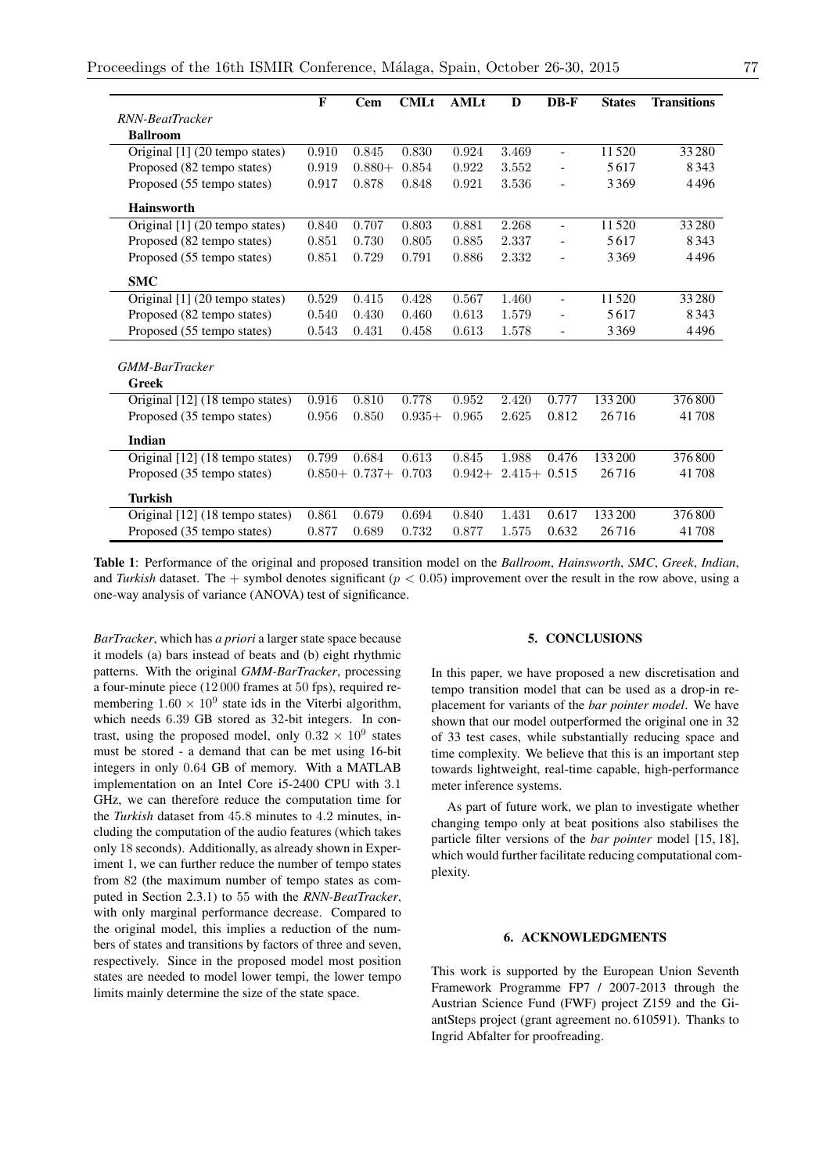|                                 | $\mathbf{F}$ | Cem               | <b>CMLt</b> | <b>AMLt</b> | D               | $DB-F$                   | <b>States</b> | <b>Transitions</b> |
|---------------------------------|--------------|-------------------|-------------|-------------|-----------------|--------------------------|---------------|--------------------|
| RNN-BeatTracker                 |              |                   |             |             |                 |                          |               |                    |
| <b>Ballroom</b>                 |              |                   |             |             |                 |                          |               |                    |
| Original [1] (20 tempo states)  | 0.910        | 0.845             | 0.830       | 0.924       | 3.469           | $\overline{\phantom{0}}$ | 11520         | 33 2 80            |
| Proposed (82 tempo states)      | 0.919        | $0.880+$          | 0.854       | 0.922       | 3.552           |                          | 5617          | 8343               |
| Proposed (55 tempo states)      | 0.917        | 0.878             | 0.848       | 0.921       | 3.536           | $\overline{\phantom{a}}$ | 3369          | 4496               |
| <b>Hainsworth</b>               |              |                   |             |             |                 |                          |               |                    |
| Original [1] (20 tempo states)  | 0.840        | 0.707             | 0.803       | 0.881       | 2.268           | $\overline{\phantom{a}}$ | 11520         | 33 280             |
| Proposed (82 tempo states)      | 0.851        | 0.730             | 0.805       | 0.885       | 2.337           |                          | 5617          | 8343               |
| Proposed (55 tempo states)      | 0.851        | 0.729             | 0.791       | 0.886       | 2.332           |                          | 3369          | 4496               |
| <b>SMC</b>                      |              |                   |             |             |                 |                          |               |                    |
| Original [1] (20 tempo states)  | 0.529        | 0.415             | 0.428       | 0.567       | 1.460           | $\equiv$                 | 11520         | 33 280             |
| Proposed (82 tempo states)      | 0.540        | 0.430             | 0.460       | 0.613       | 1.579           |                          | 5617          | 8343               |
| Proposed (55 tempo states)      | 0.543        | 0.431             | 0.458       | 0.613       | 1.578           | $\overline{a}$           | 3369          | 4496               |
|                                 |              |                   |             |             |                 |                          |               |                    |
| GMM-BarTracker                  |              |                   |             |             |                 |                          |               |                    |
| <b>Greek</b>                    |              |                   |             |             |                 |                          |               |                    |
| Original [12] (18 tempo states) | 0.916        | 0.810             | 0.778       | 0.952       | 2.420           | 0.777                    | 133 200       | 376800             |
| Proposed (35 tempo states)      | 0.956        | 0.850             | $0.935+$    | 0.965       | 2.625           | 0.812                    | 26716         | 41708              |
| Indian                          |              |                   |             |             |                 |                          |               |                    |
| Original [12] (18 tempo states) | 0.799        | 0.684             | 0.613       | 0.845       | 1.988           | 0.476                    | 133 200       | 376800             |
| Proposed (35 tempo states)      |              | $0.850 + 0.737 +$ | 0.703       | $0.942+$    | $2.415 + 0.515$ |                          | 26716         | 41708              |
| <b>Turkish</b>                  |              |                   |             |             |                 |                          |               |                    |
| Original [12] (18 tempo states) | 0.861        | 0.679             | 0.694       | 0.840       | 1.431           | 0.617                    | 133 200       | 376800             |
| Proposed (35 tempo states)      | 0.877        | 0.689             | 0.732       | 0.877       | 1.575           | 0.632                    | 26716         | 41708              |

Table 1: Performance of the original and proposed transition model on the *Ballroom*, *Hainsworth*, *SMC*, *Greek*, *Indian*, and *Turkish* dataset. The  $+$  symbol denotes significant ( $p < 0.05$ ) improvement over the result in the row above, using a one-way analysis of variance (ANOVA) test of significance.

*BarTracker*, which has *a priori* a larger state space because it models (a) bars instead of beats and (b) eight rhythmic patterns. With the original *GMM-BarTracker*, processing a four-minute piece (12 000 frames at 50 fps), required remembering  $1.60 \times 10^9$  state ids in the Viterbi algorithm, which needs 6*.*39 GB stored as 32-bit integers. In contrast, using the proposed model, only  $0.32 \times 10^9$  states must be stored - a demand that can be met using 16-bit integers in only 0*.*64 GB of memory. With a MATLAB implementation on an Intel Core i5-2400 CPU with 3*.*1 GHz, we can therefore reduce the computation time for the *Turkish* dataset from 45*.*8 minutes to 4*.*2 minutes, including the computation of the audio features (which takes only 18 seconds). Additionally, as already shown in Experiment 1, we can further reduce the number of tempo states from 82 (the maximum number of tempo states as computed in Section 2.3.1) to 55 with the *RNN-BeatTracker*, with only marginal performance decrease. Compared to the original model, this implies a reduction of the numbers of states and transitions by factors of three and seven, respectively. Since in the proposed model most position states are needed to model lower tempi, the lower tempo limits mainly determine the size of the state space.

## 5. CONCLUSIONS

In this paper, we have proposed a new discretisation and tempo transition model that can be used as a drop-in replacement for variants of the *bar pointer model*. We have shown that our model outperformed the original one in 32 of 33 test cases, while substantially reducing space and time complexity. We believe that this is an important step towards lightweight, real-time capable, high-performance meter inference systems.

As part of future work, we plan to investigate whether changing tempo only at beat positions also stabilises the particle filter versions of the *bar pointer* model [15, 18], which would further facilitate reducing computational complexity.

# 6. ACKNOWLEDGMENTS

This work is supported by the European Union Seventh Framework Programme FP7 / 2007-2013 through the Austrian Science Fund (FWF) project Z159 and the GiantSteps project (grant agreement no. 610591). Thanks to Ingrid Abfalter for proofreading.